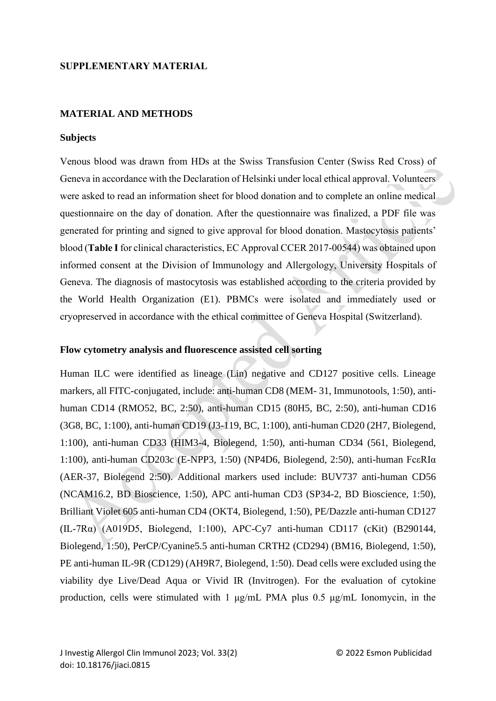### **SUPPLEMENTARY MATERIAL**

### **MATERIAL AND METHODS**

#### **Subjects**

Venous blood was drawn from HDs at the Swiss Transfusion Center (Swiss Red Cross) of Geneva in accordance with the Declaration of Helsinki under local ethical approval. Volunteers were asked to read an information sheet for blood donation and to complete an online medical questionnaire on the day of donation. After the questionnaire was finalized, a PDF file was generated for printing and signed to give approval for blood donation. Mastocytosis patients' blood (**Table I**for clinical characteristics, EC Approval CCER 2017-00544) was obtained upon informed consent at the Division of Immunology and Allergology, University Hospitals of Geneva. The diagnosis of mastocytosis was established according to the criteria provided by the World Health Organization (E1). PBMCs were isolated and immediately used or cryopreserved in accordance with the ethical committee of Geneva Hospital (Switzerland).

### **Flow cytometry analysis and fluorescence assisted cell sorting**

Human ILC were identified as lineage (Lin) negative and CD127 positive cells. Lineage markers, all FITC-conjugated, include: anti-human CD8 (MEM- 31, Immunotools, 1:50), antihuman CD14 (RMO52, BC, 2:50), anti-human CD15 (80H5, BC, 2:50), anti-human CD16 (3G8, BC, 1:100), anti-human CD19 (J3-119, BC, 1:100), anti-human CD20 (2H7, Biolegend, 1:100), anti-human CD33 (HIM3-4, Biolegend, 1:50), anti-human CD34 (561, Biolegend, 1:100), anti-human CD203c (E-NPP3, 1:50) (NP4D6, Biolegend, 2:50), anti-human FcεRIα (AER-37, Biolegend 2:50). Additional markers used include: BUV737 anti-human CD56 (NCAM16.2, BD Bioscience, 1:50), APC anti-human CD3 (SP34-2, BD Bioscience, 1:50), Brilliant Violet 605 anti-human CD4 (OKT4, Biolegend, 1:50), PE/Dazzle anti-human CD127 (IL-7Rα) (A019D5, Biolegend, 1:100), APC-Cy7 anti-human CD117 (cKit) (B290144, Biolegend, 1:50), PerCP/Cyanine5.5 anti-human CRTH2 (CD294) (BM16, Biolegend, 1:50), PE anti-human IL-9R (CD129) (AH9R7, Biolegend, 1:50). Dead cells were excluded using the viability dye Live/Dead Aqua or Vivid IR (Invitrogen). For the evaluation of cytokine production, cells were stimulated with 1 μg/mL PMA plus 0.5 μg/mL Ionomycin, in the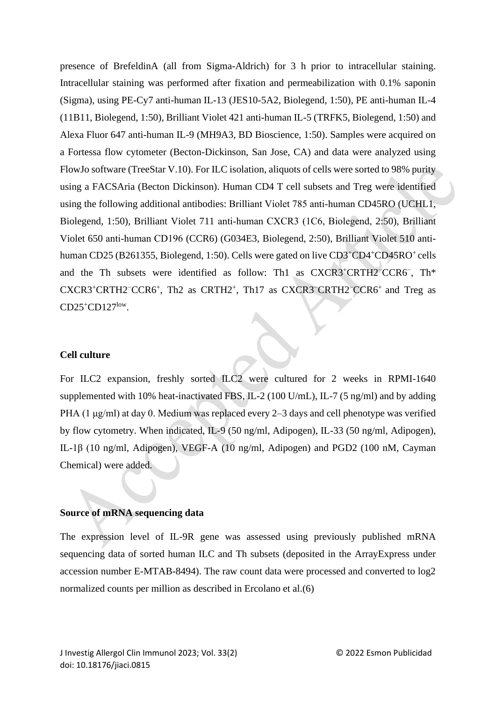presence of BrefeldinA (all from Sigma-Aldrich) for 3 h prior to intracellular staining. Intracellular staining was performed after fixation and permeabilization with 0.1% saponin (Sigma), using PE-Cy7 anti-human IL-13 (JES10-5A2, Biolegend, 1:50), PE anti-human IL-4 (11B11, Biolegend, 1:50), Brilliant Violet 421 anti-human IL-5 (TRFK5, Biolegend, 1:50) and Alexa Fluor 647 anti-human IL-9 (MH9A3, BD Bioscience, 1:50). Samples were acquired on a Fortessa flow cytometer (Becton-Dickinson, San Jose, CA) and data were analyzed using FlowJo software (TreeStar V.10). For ILC isolation, aliquots of cells were sorted to 98% purity using a FACSAria (Becton Dickinson). Human CD4 T cell subsets and Treg were identified using the following additional antibodies: Brilliant Violet 785 anti‐human CD45RO (UCHL1, Biolegend, 1:50), Brilliant Violet 711 anti‐human CXCR3 (1C6, Biolegend, 2:50), Brilliant Violet 650 anti‐human CD196 (CCR6) (G034E3, Biolegend, 2:50), Brilliant Violet 510 antihuman CD25 (B261355, Biolegend, 1:50). Cells were gated on live CD3<sup>+</sup>CD4<sup>+</sup>CD45RO<sup>+</sup> cells and the Th subsets were identified as follow: Th1 as CXCR3<sup>+</sup>CRTH2<sup>−</sup>CCR6<sup>-</sup>, Th\* CXCR3<sup>+</sup>CRTH2<sup>−</sup>CCR6<sup>+</sup>, Th2 as CRTH2<sup>+</sup>, Th17 as CXCR3<sup>−</sup>CRTH2<sup>−</sup>CCR6<sup>+</sup> and Treg as CD25<sup>+</sup>CD127<sup>low</sup>.

# **Cell culture**

For ILC2 expansion, freshly sorted ILC2 were cultured for 2 weeks in RPMI-1640 supplemented with 10% heat-inactivated FBS, IL-2 (100 U/mL), IL-7 (5 ng/ml) and by adding PHA (1 μg/ml) at day 0. Medium was replaced every 2–3 days and cell phenotype was verified by flow cytometry. When indicated, IL-9 (50 ng/ml, Adipogen), IL-33 (50 ng/ml, Adipogen), IL-1β (10 ng/ml, Adipogen), VEGF-A (10 ng/ml, Adipogen) and PGD2 (100 nM, Cayman Chemical) were added.

## **Source of mRNA sequencing data**

The expression level of IL-9R gene was assessed using previously published mRNA sequencing data of sorted human ILC and Th subsets (deposited in the ArrayExpress under accession number E-MTAB-8494). The raw count data were processed and converted to log2 normalized counts per million as described in Ercolano et al.(6)